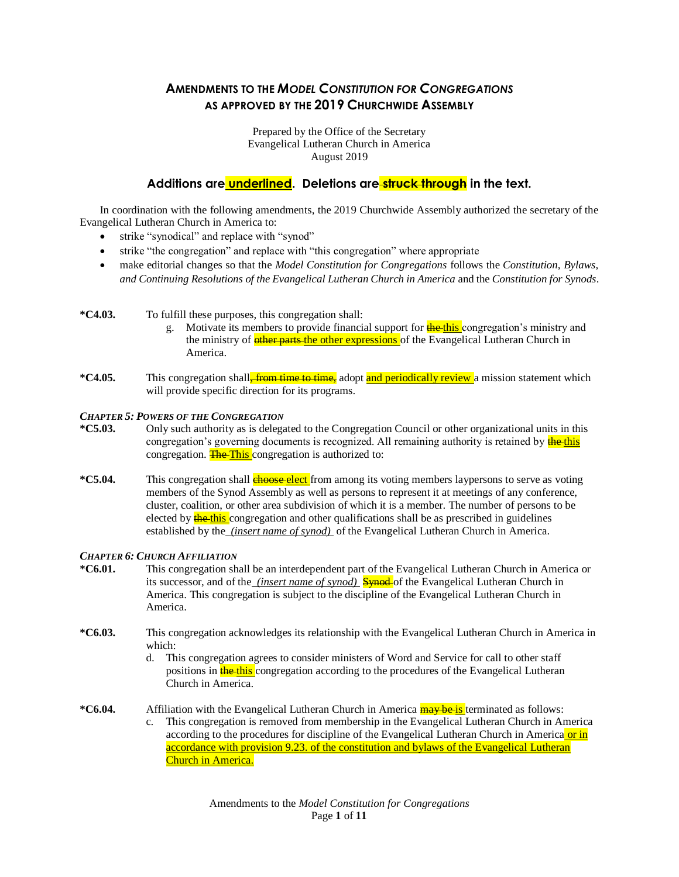# **AMENDMENTS TO THE** *MODEL CONSTITUTION FOR CONGREGATIONS* **AS APPROVED BY THE 2019 CHURCHWIDE ASSEMBLY**

Prepared by the Office of the Secretary Evangelical Lutheran Church in America August 2019

## **Additions are underlined. Deletions are struck through in the text.**

In coordination with the following amendments, the 2019 Churchwide Assembly authorized the secretary of the Evangelical Lutheran Church in America to:

- strike "synodical" and replace with "synod"
- strike "the congregation" and replace with "this congregation" where appropriate
- make editorial changes so that the *Model Constitution for Congregations* follows the *Constitution, Bylaws, and Continuing Resolutions of the Evangelical Lutheran Church in America* and the *Constitution for Synods*.

**\*C4.03.** To fulfill these purposes, this congregation shall:

- g. Motivate its members to provide financial support for **the this** congregation's ministry and the ministry of **ether parts** the other expressions of the Evangelical Lutheran Church in America.
- **\*C4.05.** This congregation shall<del>, from time to time,</del> adopt and periodically review a mission statement which will provide specific direction for its programs.

#### *CHAPTER 5: POWERS OF THE CONGREGATION*

- **\*C5.03.** Only such authority as is delegated to the Congregation Council or other organizational units in this congregation's governing documents is recognized. All remaining authority is retained by the this congregation. The This congregation is authorized to:
- **\*C5.04.** This congregation shall **choose elect** from among its voting members laypersons to serve as voting members of the Synod Assembly as well as persons to represent it at meetings of any conference, cluster, coalition, or other area subdivision of which it is a member. The number of persons to be elected by **the this** congregation and other qualifications shall be as prescribed in guidelines established by the *(insert name of synod)* of the Evangelical Lutheran Church in America.

#### *CHAPTER 6: CHURCH AFFILIATION*

- **\*C6.01.** This congregation shall be an interdependent part of the Evangelical Lutheran Church in America or its successor, and of the *(insert name of synod)* **Synod**-of the Evangelical Lutheran Church in America. This congregation is subject to the discipline of the Evangelical Lutheran Church in America.
- **\*C6.03.** This congregation acknowledges its relationship with the Evangelical Lutheran Church in America in which:
	- d. This congregation agrees to consider ministers of Word and Service for call to other staff positions in **the this** congregation according to the procedures of the Evangelical Lutheran Church in America.

**\*C6.04.** Affiliation with the Evangelical Lutheran Church in America **may be is terminated as follows:** 

c. This congregation is removed from membership in the Evangelical Lutheran Church in America according to the procedures for discipline of the Evangelical Lutheran Church in America or in accordance with provision 9.23. of the constitution and bylaws of the Evangelical Lutheran Church in America.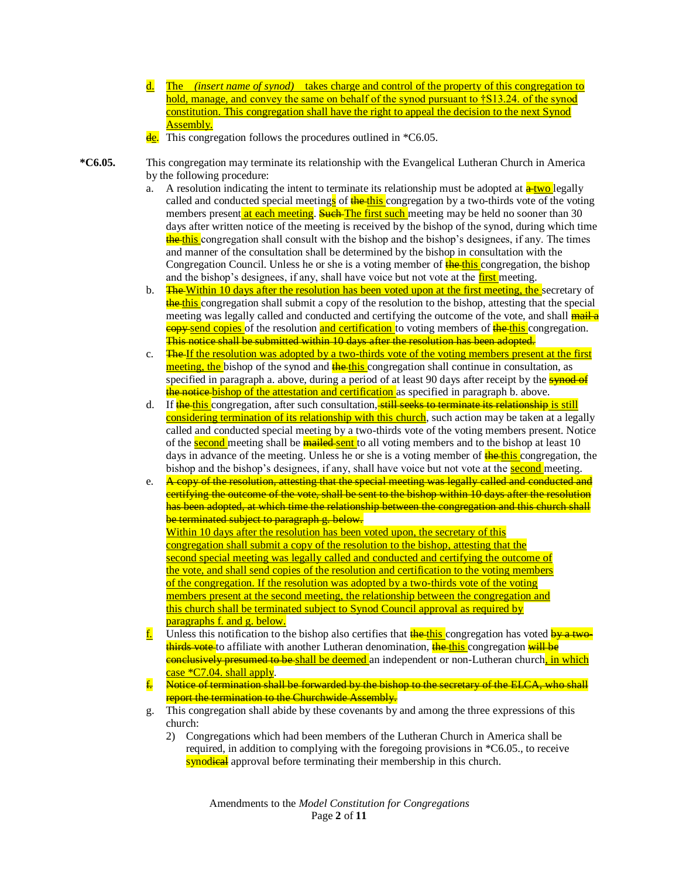- d. The *(insert name of synod)*takes charge and control of the property of this congregation to hold, manage, and convey the same on behalf of the synod pursuant to †S13.24, of the synod constitution. This congregation shall have the right to appeal the decision to the next Synod Assembly.
- This congregation follows the procedures outlined in  $*C6.05$ .

**\*C6.05.** This congregation may terminate its relationship with the Evangelical Lutheran Church in America by the following procedure:

- a. A resolution indicating the intent to terminate its relationship must be adopted at  $\frac{a \cdot two}{a \cdot two}$  legally called and conducted special meetings of  $\frac{1}{\sqrt{2}}$  of  $\frac{1}{\sqrt{2}}$  congregation by a two-thirds vote of the voting members present at each meeting. Such The first such meeting may be held no sooner than 30 days after written notice of the meeting is received by the bishop of the synod, during which time the this congregation shall consult with the bishop and the bishop's designees, if any. The times and manner of the consultation shall be determined by the bishop in consultation with the Congregation Council. Unless he or she is a voting member of  $\frac{H}{H}$  the this congregation, the bishop and the bishop's designees, if any, shall have voice but not vote at the first meeting.
- b. **The Within 10 days after the resolution has been voted upon at the first meeting, the secretary of** the this congregation shall submit a copy of the resolution to the bishop, attesting that the special meeting was legally called and conducted and certifying the outcome of the vote, and shall **mail a copy send copies** of the resolution and certification to voting members of **the this** congregation. This notice shall be submitted within 10 days after the resolution has been adopted.
- c. The If the resolution was adopted by a two-thirds vote of the voting members present at the first meeting, the bishop of the synod and the this congregation shall continue in consultation, as specified in paragraph a. above, during a period of at least 90 days after receipt by the **synod of** the notice bishop of the attestation and certification as specified in paragraph b. above.
- d. If the this congregation, after such consultation, still seeks to terminate its relationship is still considering termination of its relationship with this church, such action may be taken at a legally called and conducted special meeting by a two-thirds vote of the voting members present. Notice of the second meeting shall be mailed sent to all voting members and to the bishop at least 10 days in advance of the meeting. Unless he or she is a voting member of **the this** congregation, the bishop and the bishop's designees, if any, shall have voice but not vote at the **second** meeting.
- e. A copy of the resolution, attesting that the special meeting was legally called and conducted and certifying the outcome of the vote, shall be sent to the bishop within 10 days after the resolution has been adopted, at which time the relationship between the congregation and this church shall be terminated subject to paragraph g. below. Within 10 days after the resolution has been voted upon, the secretary of this congregation shall submit a copy of the resolution to the bishop, attesting that the second special meeting was legally called and conducted and certifying the outcome of the vote, and shall send copies of the resolution and certification to the voting members of the congregation. If the resolution was adopted by a two-thirds vote of the voting members present at the second meeting, the relationship between the congregation and this church shall be terminated subject to Synod Council approval as required by paragraphs f. and g. below.
- **f.** Unless this notification to the bishop also certifies that  $\frac{H}{dr}$  congregation has voted  $\frac{H}{dr}$  twothirds vote to affiliate with another Lutheran denomination, the this congregation will be **conclusively presumed to be** shall be deemed an independent or non-Lutheran church, in which  $case *C7.04. shall apply.$
- f. Notice of termination shall be forwarded by the bishop to the secretary of the ELCA, who shall report the termination to the Churchwide Assembly.
- g. This congregation shall abide by these covenants by and among the three expressions of this church:
	- 2) Congregations which had been members of the Lutheran Church in America shall be required, in addition to complying with the foregoing provisions in \*C6.05., to receive synodical approval before terminating their membership in this church.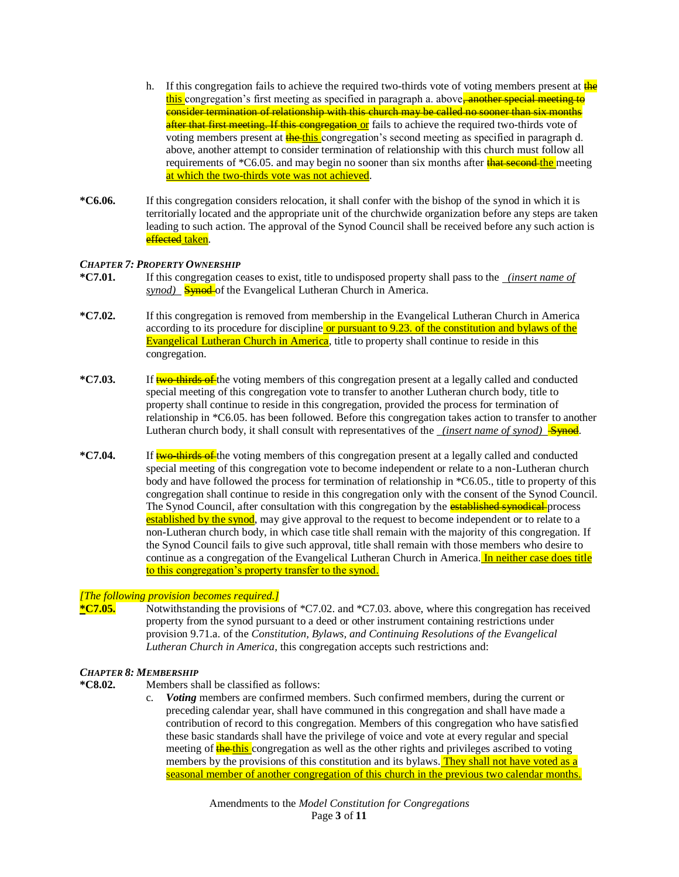- h. If this congregation fails to achieve the required two-thirds vote of voting members present at  $\frac{d}{d}$ this congregation's first meeting as specified in paragraph a. above, another special meeting to consider termination of relationship with this church may be called no sooner than six months after that first meeting. If this congregation or fails to achieve the required two-thirds vote of voting members present at **the this** congregation's second meeting as specified in paragraph d. above, another attempt to consider termination of relationship with this church must follow all requirements of  $*C6.05$ . and may begin no sooner than six months after **that second the** meeting at which the two-thirds vote was not achieved.
- **\*C6.06.** If this congregation considers relocation, it shall confer with the bishop of the synod in which it is territorially located and the appropriate unit of the churchwide organization before any steps are taken leading to such action. The approval of the Synod Council shall be received before any such action is effected taken.

#### *CHAPTER 7: PROPERTY OWNERSHIP*

- **\*C7.01.** If this congregation ceases to exist, title to undisposed property shall pass to the *(insert name of synod*) **Synod** of the Evangelical Lutheran Church in America.
- **\*C7.02.** If this congregation is removed from membership in the Evangelical Lutheran Church in America according to its procedure for discipline or pursuant to 9.23. of the constitution and bylaws of the Evangelical Lutheran Church in America, title to property shall continue to reside in this congregation.
- **\*C7.03.** If two-thirds of the voting members of this congregation present at a legally called and conducted special meeting of this congregation vote to transfer to another Lutheran church body, title to property shall continue to reside in this congregation, provided the process for termination of relationship in \*C6.05. has been followed. Before this congregation takes action to transfer to another Lutheran church body, it shall consult with representatives of the *(insert name of synod)* Synod.
- **\*C7.04.** If two-thirds of the voting members of this congregation present at a legally called and conducted special meeting of this congregation vote to become independent or relate to a non-Lutheran church body and have followed the process for termination of relationship in \*C6.05., title to property of this congregation shall continue to reside in this congregation only with the consent of the Synod Council. The Synod Council, after consultation with this congregation by the **established synodical** process established by the synod, may give approval to the request to become independent or to relate to a non-Lutheran church body, in which case title shall remain with the majority of this congregation. If the Synod Council fails to give such approval, title shall remain with those members who desire to continue as a congregation of the Evangelical Lutheran Church in America. In neither case does title to this congregation's property transfer to the synod.

#### *[The following provision becomes required.]*

**\*C7.05.** Notwithstanding the provisions of \*C7.02. and \*C7.03. above, where this congregation has received property from the synod pursuant to a deed or other instrument containing restrictions under provision 9.71.a. of the *Constitution, Bylaws, and Continuing Resolutions of the Evangelical Lutheran Church in America*, this congregation accepts such restrictions and:

## *CHAPTER 8: MEMBERSHIP*

- **\*C8.02.** Members shall be classified as follows:
	- c. *Voting* members are confirmed members. Such confirmed members, during the current or preceding calendar year, shall have communed in this congregation and shall have made a contribution of record to this congregation. Members of this congregation who have satisfied these basic standards shall have the privilege of voice and vote at every regular and special meeting of **the this** congregation as well as the other rights and privileges ascribed to voting members by the provisions of this constitution and its bylaws. They shall not have voted as a seasonal member of another congregation of this church in the previous two calendar months.

Amendments to the *Model Constitution for Congregations* Page **3** of **11**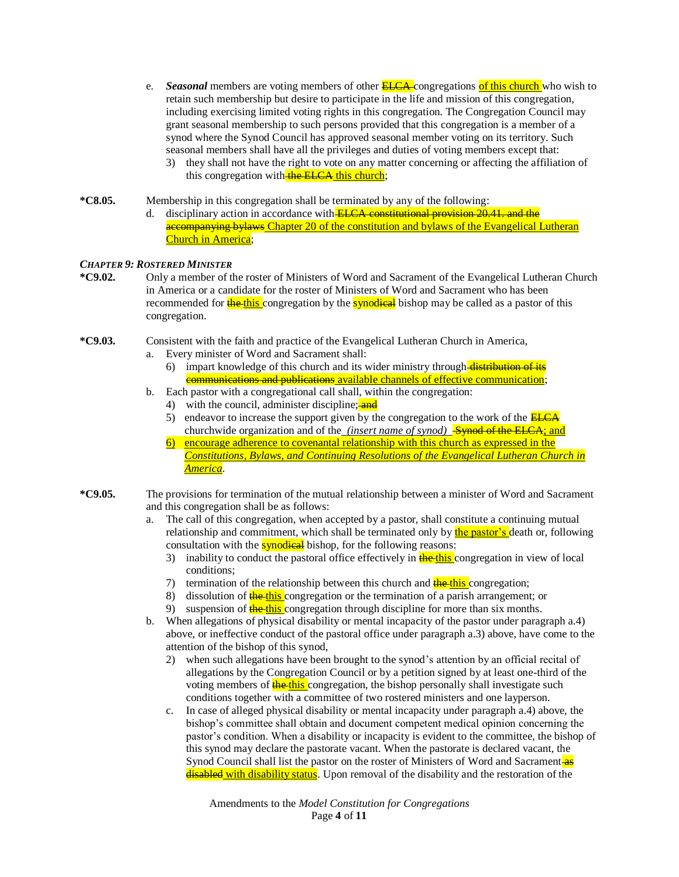- e. *Seasonal* members are voting members of other **ELCA** congregations of this church who wish to retain such membership but desire to participate in the life and mission of this congregation, including exercising limited voting rights in this congregation. The Congregation Council may grant seasonal membership to such persons provided that this congregation is a member of a synod where the Synod Council has approved seasonal member voting on its territory. Such seasonal members shall have all the privileges and duties of voting members except that:
	- 3) they shall not have the right to vote on any matter concerning or affecting the affiliation of this congregation with the ELCA this church;
- **\*C8.05.** Membership in this congregation shall be terminated by any of the following: d. disciplinary action in accordance with **ELCA constitutional provision 20.41, and the** accompanying bylaws Chapter 20 of the constitution and bylaws of the Evangelical Lutheran Church in America;

#### *CHAPTER 9: ROSTERED MINISTER*

- **\*C9.02.** Only a member of the roster of Ministers of Word and Sacrament of the Evangelical Lutheran Church in America or a candidate for the roster of Ministers of Word and Sacrament who has been recommended for **the this** congregation by the **synodical** bishop may be called as a pastor of this congregation.
- **\*C9.03.** Consistent with the faith and practice of the Evangelical Lutheran Church in America,
	- a. Every minister of Word and Sacrament shall:
		- 6) impart knowledge of this church and its wider ministry through  $\frac{distribution}{distribution}$ communications and publications available channels of effective communication;
	- b. Each pastor with a congregational call shall, within the congregation:
		- 4) with the council, administer discipline; and
		- 5) endeavor to increase the support given by the congregation to the work of the  $ELCA$ churchwide organization and of the *(insert name of synod)* Solution-Synod of the ELCA; and
		- 6) encourage adherence to covenantal relationship with this church as expressed in the *Constitutions, Bylaws, and Continuing Resolutions of the Evangelical Lutheran Church in America*.
- **\*C9.05.** The provisions for termination of the mutual relationship between a minister of Word and Sacrament and this congregation shall be as follows:
	- a. The call of this congregation, when accepted by a pastor, shall constitute a continuing mutual relationship and commitment, which shall be terminated only by the pastor's death or, following consultation with the **synodical** bishop, for the following reasons:
		- 3) inability to conduct the pastoral office effectively in  $\frac{1}{\text{He}-\text{this}}$  congregation in view of local conditions;
		- 7) termination of the relationship between this church and **the this** congregation;
		- 8) dissolution of  $\frac{1}{2}$  the this congregation or the termination of a parish arrangement; or
		- 9) suspension of **the this** congregation through discipline for more than six months.
	- b. When allegations of physical disability or mental incapacity of the pastor under paragraph a.4) above, or ineffective conduct of the pastoral office under paragraph a.3) above, have come to the attention of the bishop of this synod,
		- 2) when such allegations have been brought to the synod's attention by an official recital of allegations by the Congregation Council or by a petition signed by at least one-third of the voting members of **the this** congregation, the bishop personally shall investigate such conditions together with a committee of two rostered ministers and one layperson.
		- c. In case of alleged physical disability or mental incapacity under paragraph a.4) above, the bishop's committee shall obtain and document competent medical opinion concerning the pastor's condition. When a disability or incapacity is evident to the committee, the bishop of this synod may declare the pastorate vacant. When the pastorate is declared vacant, the Synod Council shall list the pastor on the roster of Ministers of Word and Sacrament as disabled with disability status. Upon removal of the disability and the restoration of the

Amendments to the *Model Constitution for Congregations* Page **4** of **11**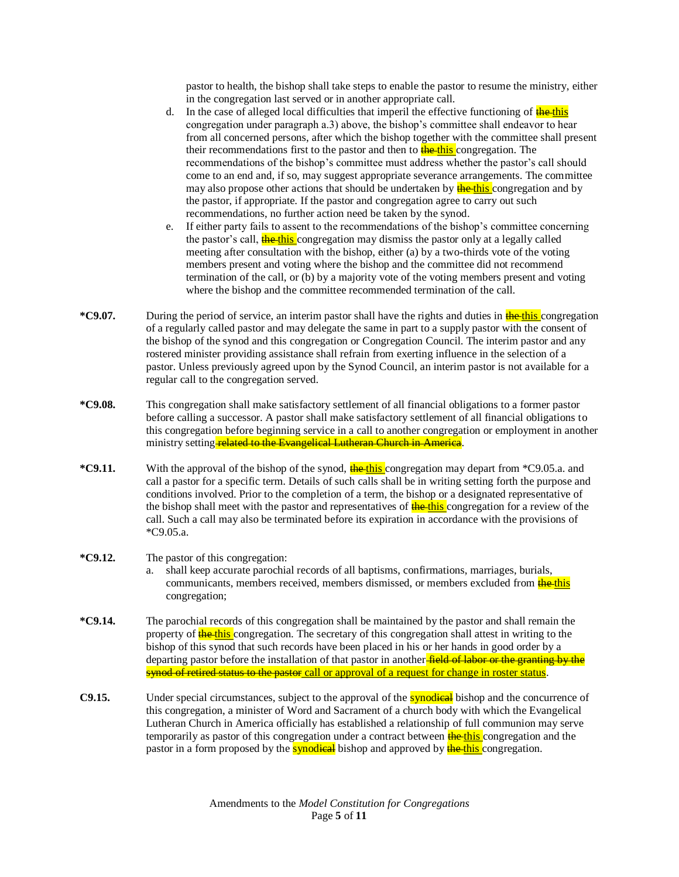pastor to health, the bishop shall take steps to enable the pastor to resume the ministry, either in the congregation last served or in another appropriate call.

- d. In the case of alleged local difficulties that imperil the effective functioning of  $\frac{d^2h}{dt^2}$ congregation under paragraph a.3) above, the bishop's committee shall endeavor to hear from all concerned persons, after which the bishop together with the committee shall present their recommendations first to the pastor and then to **the this** congregation. The recommendations of the bishop's committee must address whether the pastor's call should come to an end and, if so, may suggest appropriate severance arrangements. The committee may also propose other actions that should be undertaken by **the this** congregation and by the pastor, if appropriate. If the pastor and congregation agree to carry out such recommendations, no further action need be taken by the synod.
- e. If either party fails to assent to the recommendations of the bishop's committee concerning the pastor's call, **the this** congregation may dismiss the pastor only at a legally called meeting after consultation with the bishop, either (a) by a two-thirds vote of the voting members present and voting where the bishop and the committee did not recommend termination of the call, or (b) by a majority vote of the voting members present and voting where the bishop and the committee recommended termination of the call.
- **\*C9.07.** During the period of service, an interim pastor shall have the rights and duties in the this congregation of a regularly called pastor and may delegate the same in part to a supply pastor with the consent of the bishop of the synod and this congregation or Congregation Council. The interim pastor and any rostered minister providing assistance shall refrain from exerting influence in the selection of a pastor. Unless previously agreed upon by the Synod Council, an interim pastor is not available for a regular call to the congregation served.
- **\*C9.08.** This congregation shall make satisfactory settlement of all financial obligations to a former pastor before calling a successor. A pastor shall make satisfactory settlement of all financial obligations to this congregation before beginning service in a call to another congregation or employment in another ministry setting **related to the Evangelical Lutheran Church in America**.
- \*C9.11. With the approval of the bishop of the synod, **the this** congregation may depart from \*C9.05.a. and call a pastor for a specific term. Details of such calls shall be in writing setting forth the purpose and conditions involved. Prior to the completion of a term, the bishop or a designated representative of the bishop shall meet with the pastor and representatives of **the this** congregation for a review of the call. Such a call may also be terminated before its expiration in accordance with the provisions of \*C9.05.a.

## **\*C9.12.** The pastor of this congregation:

- a. shall keep accurate parochial records of all baptisms, confirmations, marriages, burials, communicants, members received, members dismissed, or members excluded from the this congregation;
- **\*C9.14.** The parochial records of this congregation shall be maintained by the pastor and shall remain the property of **the this** congregation. The secretary of this congregation shall attest in writing to the bishop of this synod that such records have been placed in his or her hands in good order by a departing pastor before the installation of that pastor in another-field of labor or the granting by the synod of retired status to the pastor call or approval of a request for change in roster status.
- **C9.15.** Under special circumstances, subject to the approval of the **synodical** bishop and the concurrence of this congregation, a minister of Word and Sacrament of a church body with which the Evangelical Lutheran Church in America officially has established a relationship of full communion may serve temporarily as pastor of this congregation under a contract between **the this** congregation and the pastor in a form proposed by the **synodical** bishop and approved by **the this** congregation.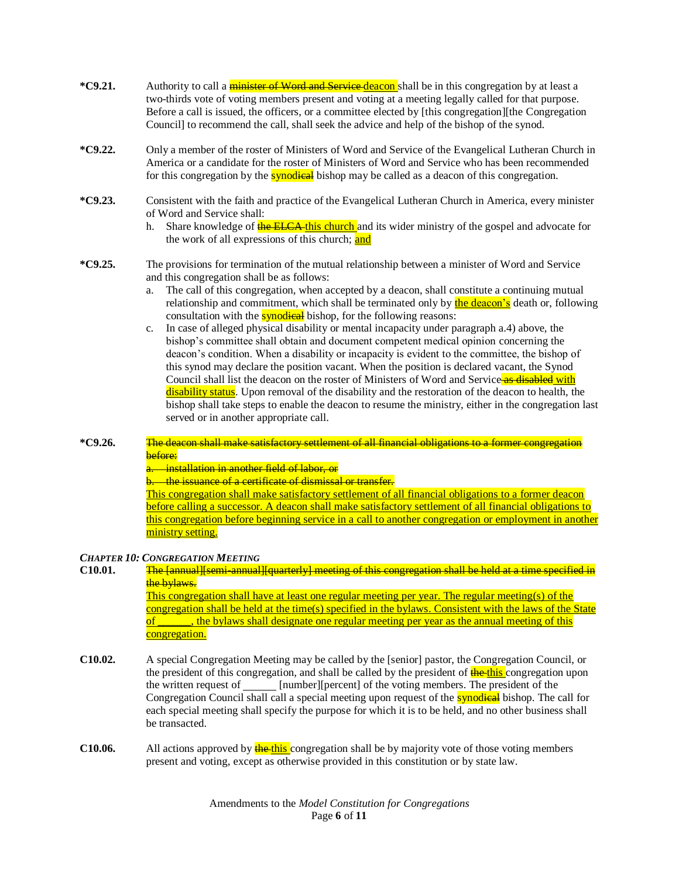- **\*C9.21.** Authority to call a minister of Word and Service deacon shall be in this congregation by at least a two-thirds vote of voting members present and voting at a meeting legally called for that purpose. Before a call is issued, the officers, or a committee elected by [this congregation][the Congregation Council] to recommend the call, shall seek the advice and help of the bishop of the synod.
- **\*C9.22.** Only a member of the roster of Ministers of Word and Service of the Evangelical Lutheran Church in America or a candidate for the roster of Ministers of Word and Service who has been recommended for this congregation by the **synodical** bishop may be called as a deacon of this congregation.
- **\*C9.23.** Consistent with the faith and practice of the Evangelical Lutheran Church in America, every minister of Word and Service shall:
	- h. Share knowledge of **the ELCA this church** and its wider ministry of the gospel and advocate for the work of all expressions of this church; and
- **\*C9.25.** The provisions for termination of the mutual relationship between a minister of Word and Service and this congregation shall be as follows:
	- a. The call of this congregation, when accepted by a deacon, shall constitute a continuing mutual relationship and commitment, which shall be terminated only by the deacon's death or, following consultation with the **synodical** bishop, for the following reasons:
	- c. In case of alleged physical disability or mental incapacity under paragraph a.4) above, the bishop's committee shall obtain and document competent medical opinion concerning the deacon's condition. When a disability or incapacity is evident to the committee, the bishop of this synod may declare the position vacant. When the position is declared vacant, the Synod Council shall list the deacon on the roster of Ministers of Word and Service as disabled with disability status. Upon removal of the disability and the restoration of the deacon to health, the bishop shall take steps to enable the deacon to resume the ministry, either in the congregation last served or in another appropriate call.

## **\*C9.26.** The deacon shall make satisfactory settlement of all financial obligations to a former congregation before:

a. installation in another field of labor, or

b. the issuance of a certificate of dismissal or transfer.

This congregation shall make satisfactory settlement of all financial obligations to a former deacon before calling a successor. A deacon shall make satisfactory settlement of all financial obligations to this congregation before beginning service in a call to another congregation or employment in another ministry setting.

## *CHAPTER 10: CONGREGATION MEETING*

## **C10.01.** The [annual][semi-annual][quarterly] meeting of this congregation shall be held at a time specified in the bylaws. This congregation shall have at least one regular meeting per year. The regular meeting(s) of the

congregation shall be held at the time(s) specified in the bylaws. Consistent with the laws of the State of **\_\_\_\_\_\_**, the bylaws shall designate one regular meeting per year as the annual meeting of this congregation.

- **C10.02.** A special Congregation Meeting may be called by the [senior] pastor, the Congregation Council, or the president of this congregation, and shall be called by the president of **the this** congregation upon the written request of \_\_\_\_\_\_ [number][percent] of the voting members. The president of the Congregation Council shall call a special meeting upon request of the **synodical** bishop. The call for each special meeting shall specify the purpose for which it is to be held, and no other business shall be transacted.
- **C10.06.** All actions approved by **the this** congregation shall be by majority vote of those voting members present and voting, except as otherwise provided in this constitution or by state law.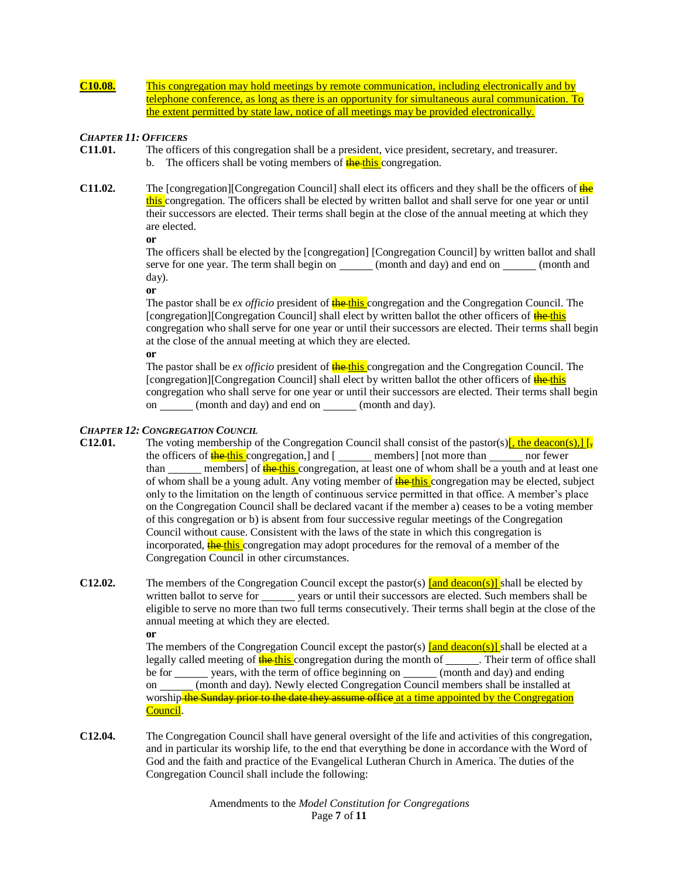**C10.08.** This congregation may hold meetings by remote communication, including electronically and by telephone conference, as long as there is an opportunity for simultaneous aural communication. To the extent permitted by state law, notice of all meetings may be provided electronically.

## *CHAPTER 11: OFFICERS*

- **C11.01.** The officers of this congregation shall be a president, vice president, secretary, and treasurer. b. The officers shall be voting members of  $\frac{1}{h}$  the this congregation.
- **C11.02.** The [congregation][Congregation Council] shall elect its officers and they shall be the officers of  $\frac{d}{dP}$ this congregation. The officers shall be elected by written ballot and shall serve for one year or until their successors are elected. Their terms shall begin at the close of the annual meeting at which they are elected.

**or**

The officers shall be elected by the [congregation] [Congregation Council] by written ballot and shall serve for one year. The term shall begin on (month and day) and end on (month and day).

**or**

The pastor shall be *ex officio* president of **the this** congregation and the Congregation Council. The [congregation][Congregation Council] shall elect by written ballot the other officers of the this congregation who shall serve for one year or until their successors are elected. Their terms shall begin at the close of the annual meeting at which they are elected.

**or**

The pastor shall be *ex officio* president of **the this** congregation and the Congregation Council. The [congregation][Congregation Council] shall elect by written ballot the other officers of the this congregation who shall serve for one year or until their successors are elected. Their terms shall begin on (month and day) and end on (month and day).

## *CHAPTER 12: CONGREGATION COUNCIL*

- **C12.01.** The voting membership of the Congregation Council shall consist of the pastor(s) $\left[\frac{\text{the deacon(s)}}{\text{left}}\right]\right]$ the officers of  $\frac{f}{f}$  the this congregation,] and [ members] [not more than nor fewer than members] of **the this** congregation, at least one of whom shall be a youth and at least one of whom shall be a young adult. Any voting member of **the this** congregation may be elected, subject only to the limitation on the length of continuous service permitted in that office. A member's place on the Congregation Council shall be declared vacant if the member a) ceases to be a voting member of this congregation or b) is absent from four successive regular meetings of the Congregation Council without cause. Consistent with the laws of the state in which this congregation is incorporated, the this congregation may adopt procedures for the removal of a member of the Congregation Council in other circumstances.
- **C12.02.** The members of the Congregation Council except the pastor(s) **[and deacon(s)]** shall be elected by written ballot to serve for years or until their successors are elected. Such members shall be eligible to serve no more than two full terms consecutively. Their terms shall begin at the close of the annual meeting at which they are elected.

**or**

The members of the Congregation Council except the pastor(s)  $\frac{1}{\text{and deacon(s)}}$  shall be elected at a legally called meeting of **the this** congregation during the month of . Their term of office shall be for years, with the term of office beginning on (month and day) and ending on (month and day). Newly elected Congregation Council members shall be installed at worship-the Sunday prior to the date they assume office at a time appointed by the Congregation Council.

**C12.04.** The Congregation Council shall have general oversight of the life and activities of this congregation, and in particular its worship life, to the end that everything be done in accordance with the Word of God and the faith and practice of the Evangelical Lutheran Church in America. The duties of the Congregation Council shall include the following: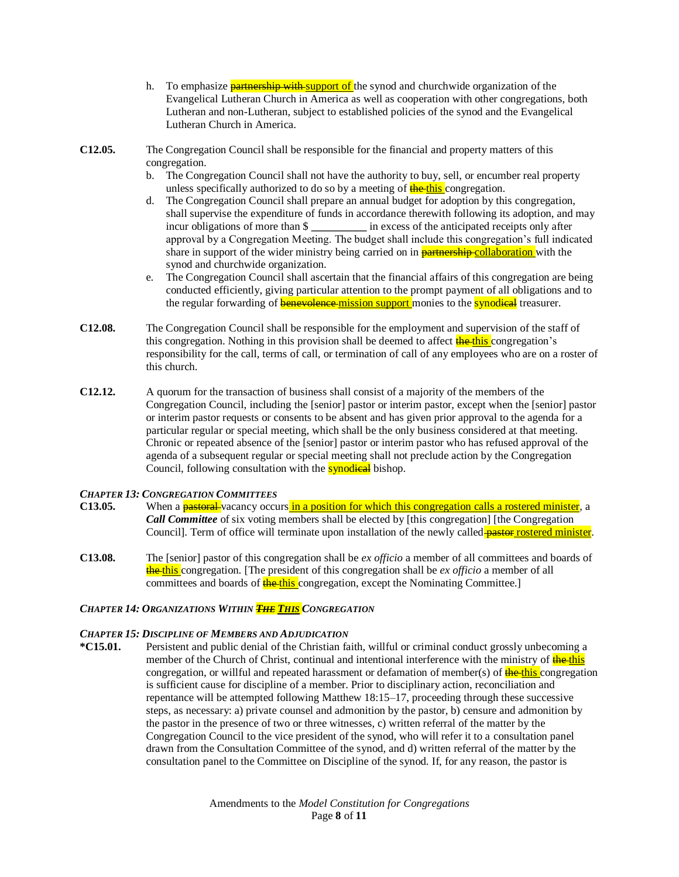- h. To emphasize **partnership with support of** the synod and churchwide organization of the Evangelical Lutheran Church in America as well as cooperation with other congregations, both Lutheran and non-Lutheran, subject to established policies of the synod and the Evangelical Lutheran Church in America.
- **C12.05.** The Congregation Council shall be responsible for the financial and property matters of this congregation.
	- b. The Congregation Council shall not have the authority to buy, sell, or encumber real property unless specifically authorized to do so by a meeting of  $\frac{f}{\text{the - this}}$  congregation.
	- d. The Congregation Council shall prepare an annual budget for adoption by this congregation, shall supervise the expenditure of funds in accordance therewith following its adoption, and may incur obligations of more than \$ *in excess of the anticipated receipts only after* approval by a Congregation Meeting. The budget shall include this congregation's full indicated share in support of the wider ministry being carried on in **partnership collaboration** with the synod and churchwide organization.
	- e. The Congregation Council shall ascertain that the financial affairs of this congregation are being conducted efficiently, giving particular attention to the prompt payment of all obligations and to the regular forwarding of **benevolence-mission support** monies to the **synodical** treasurer.
- **C12.08.** The Congregation Council shall be responsible for the employment and supervision of the staff of this congregation. Nothing in this provision shall be deemed to affect **the this** congregation's responsibility for the call, terms of call, or termination of call of any employees who are on a roster of this church.
- **C12.12.** A quorum for the transaction of business shall consist of a majority of the members of the Congregation Council, including the [senior] pastor or interim pastor, except when the [senior] pastor or interim pastor requests or consents to be absent and has given prior approval to the agenda for a particular regular or special meeting, which shall be the only business considered at that meeting. Chronic or repeated absence of the [senior] pastor or interim pastor who has refused approval of the agenda of a subsequent regular or special meeting shall not preclude action by the Congregation Council, following consultation with the **synodical** bishop.

## *CHAPTER 13: CONGREGATION COMMITTEES*

- **C13.05.** When a **pastoral** vacancy occurs in a position for which this congregation calls a rostered minister, a *Call Committee* of six voting members shall be elected by [this congregation] [the Congregation Council]. Term of office will terminate upon installation of the newly called **pastor rostered minister**.
- **C13.08.** The [senior] pastor of this congregation shall be *ex officio* a member of all committees and boards of the this congregation. [The president of this congregation shall be *ex officio* a member of all committees and boards of **the this** congregation, except the Nominating Committee.

## *CHAPTER 14: ORGANIZATIONS WITHIN THE THIS CONGREGATION*

#### *CHAPTER 15: DISCIPLINE OF MEMBERS AND ADJUDICATION*

**\*C15.01.** Persistent and public denial of the Christian faith, willful or criminal conduct grossly unbecoming a member of the Church of Christ, continual and intentional interference with the ministry of the this congregation, or willful and repeated harassment or defamation of member(s) of **the this** congregation is sufficient cause for discipline of a member. Prior to disciplinary action, reconciliation and repentance will be attempted following Matthew 18:15–17, proceeding through these successive steps, as necessary: a) private counsel and admonition by the pastor, b) censure and admonition by the pastor in the presence of two or three witnesses, c) written referral of the matter by the Congregation Council to the vice president of the synod, who will refer it to a consultation panel drawn from the Consultation Committee of the synod, and d) written referral of the matter by the consultation panel to the Committee on Discipline of the synod. If, for any reason, the pastor is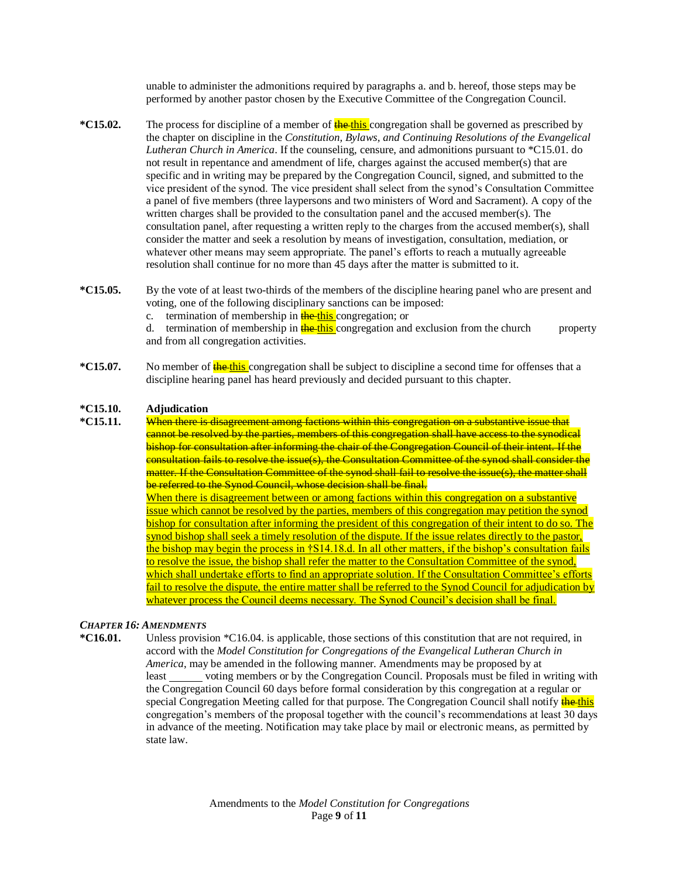unable to administer the admonitions required by paragraphs a. and b. hereof, those steps may be performed by another pastor chosen by the Executive Committee of the Congregation Council.

- **\*C15.02.** The process for discipline of a member of **the this** congregation shall be governed as prescribed by the chapter on discipline in the *Constitution, Bylaws, and Continuing Resolutions of the Evangelical Lutheran Church in America*. If the counseling, censure, and admonitions pursuant to \*C15.01. do not result in repentance and amendment of life, charges against the accused member(s) that are specific and in writing may be prepared by the Congregation Council, signed, and submitted to the vice president of the synod. The vice president shall select from the synod's Consultation Committee a panel of five members (three laypersons and two ministers of Word and Sacrament). A copy of the written charges shall be provided to the consultation panel and the accused member(s). The consultation panel, after requesting a written reply to the charges from the accused member(s), shall consider the matter and seek a resolution by means of investigation, consultation, mediation, or whatever other means may seem appropriate. The panel's efforts to reach a mutually agreeable resolution shall continue for no more than 45 days after the matter is submitted to it.
- **\*C15.05.** By the vote of at least two-thirds of the members of the discipline hearing panel who are present and voting, one of the following disciplinary sanctions can be imposed:
	- c. termination of membership in the this congregation; or

d. termination of membership in the this congregation and exclusion from the church property and from all congregation activities.

**\*C15.07.** No member of **the this** congregation shall be subject to discipline a second time for offenses that a discipline hearing panel has heard previously and decided pursuant to this chapter.

#### **\*C15.10. Adjudication**

**\*C15.11.** When there is disagreement among factions within this congregation on a substantive issue that cannot be resolved by the parties, members of this congregation shall have access to the synodical bishop for consultation after informing the chair of the Congregation Council of their intent. If the consultation fails to resolve the issue(s), the Consultation Committee of the synod shall consider the matter. If the Consultation Committee of the synod shall fail to resolve the issue(s), the matter shall be referred to the Synod Council, whose decision shall be final. When there is disagreement between or among factions within this congregation on a substantive issue which cannot be resolved by the parties, members of this congregation may petition the synod bishop for consultation after informing the president of this congregation of their intent to do so. The synod bishop shall seek a timely resolution of the dispute. If the issue relates directly to the pastor, the bishop may begin the process in †S14.18.d. In all other matters, if the bishop's consultation fails to resolve the issue, the bishop shall refer the matter to the Consultation Committee of the synod, which shall undertake efforts to find an appropriate solution. If the Consultation Committee's efforts fail to resolve the dispute, the entire matter shall be referred to the Synod Council for adjudication by whatever process the Council deems necessary. The Synod Council's decision shall be final.

#### *CHAPTER 16: AMENDMENTS*

**\*C16.01.** Unless provision \*C16.04. is applicable, those sections of this constitution that are not required, in accord with the *Model Constitution for Congregations of the Evangelical Lutheran Church in America*, may be amended in the following manner. Amendments may be proposed by at least voting members or by the Congregation Council. Proposals must be filed in writing with the Congregation Council 60 days before formal consideration by this congregation at a regular or special Congregation Meeting called for that purpose. The Congregation Council shall notify the this congregation's members of the proposal together with the council's recommendations at least 30 days in advance of the meeting. Notification may take place by mail or electronic means, as permitted by state law.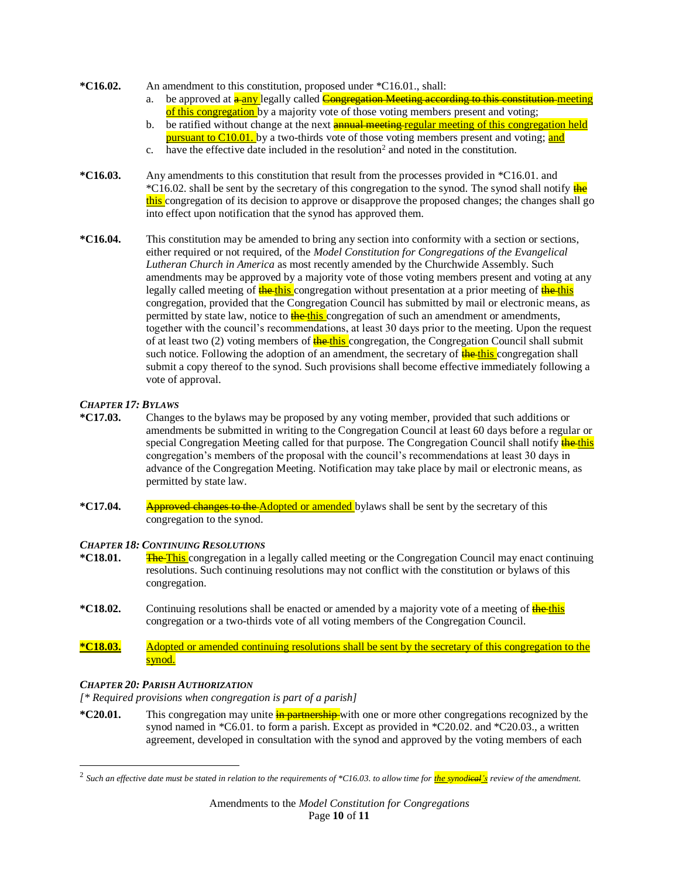#### **\*C16.02.** An amendment to this constitution, proposed under \*C16.01., shall:

- a. be approved at **a any** legally called **Congregation Meeting according to this constitution meeting** of this congregation by a majority vote of those voting members present and voting;
- b. be ratified without change at the next **annual meeting regular meeting of this congregation held** pursuant to C10.01. by a two-thirds vote of those voting members present and voting; and
- c. have the effective date included in the resolution<sup>2</sup> and noted in the constitution.
- **\*C16.03.** Any amendments to this constitution that result from the processes provided in \*C16.01. and \*C16.02. shall be sent by the secretary of this congregation to the synod. The synod shall notify the this congregation of its decision to approve or disapprove the proposed changes; the changes shall go into effect upon notification that the synod has approved them.
- **\*C16.04.** This constitution may be amended to bring any section into conformity with a section or sections, either required or not required, of the *Model Constitution for Congregations of the Evangelical Lutheran Church in America* as most recently amended by the Churchwide Assembly. Such amendments may be approved by a majority vote of those voting members present and voting at any legally called meeting of **the this** congregation without presentation at a prior meeting of **the this** congregation, provided that the Congregation Council has submitted by mail or electronic means, as permitted by state law, notice to **the this** congregation of such an amendment or amendments, together with the council's recommendations, at least 30 days prior to the meeting. Upon the request of at least two  $(2)$  voting members of  $\frac{1}{\sqrt{1 + \frac{1}{n}} \cdot \frac{1}{n}}$  congregation, the Congregation Council shall submit such notice. Following the adoption of an amendment, the secretary of **the this** congregation shall submit a copy thereof to the synod. Such provisions shall become effective immediately following a vote of approval.

## *CHAPTER 17: BYLAWS*

- **\*C17.03.** Changes to the bylaws may be proposed by any voting member, provided that such additions or amendments be submitted in writing to the Congregation Council at least 60 days before a regular or special Congregation Meeting called for that purpose. The Congregation Council shall notify the this congregation's members of the proposal with the council's recommendations at least 30 days in advance of the Congregation Meeting. Notification may take place by mail or electronic means, as permitted by state law.
- **\*C17.04.** Approved changes to the Adopted or amended by laws shall be sent by the secretary of this congregation to the synod.

## *CHAPTER 18: CONTINUING RESOLUTIONS*

- **\*C18.01.** The This congregation in a legally called meeting or the Congregation Council may enact continuing resolutions. Such continuing resolutions may not conflict with the constitution or bylaws of this congregation.
- **\*C18.02.** Continuing resolutions shall be enacted or amended by a majority vote of a meeting of the this congregation or a two-thirds vote of all voting members of the Congregation Council.
- **\*C18.03.** Adopted or amended continuing resolutions shall be sent by the secretary of this congregation to the synod.

## *CHAPTER 20: PARISH AUTHORIZATION*

*[\* Required provisions when congregation is part of a parish]*

**\*C20.01.** This congregation may unite in partnership with one or more other congregations recognized by the synod named in \*C6.01. to form a parish. Except as provided in \*C20.02. and \*C20.03., a written agreement, developed in consultation with the synod and approved by the voting members of each

<sup>2</sup> *Such an effective date must be stated in relation to the requirements of \*C16.03. to allow time for the synodical's review of the amendment.*